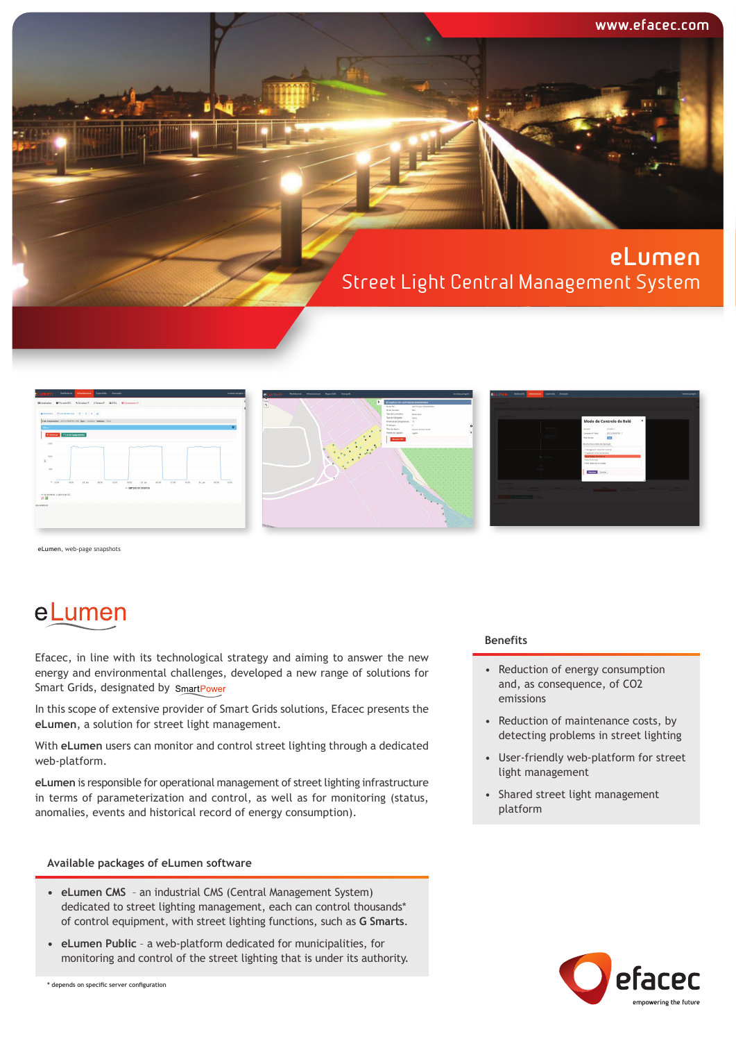







**eLumen**, web-page snapshots

# eLumen

Efacec, in line with its technological strategy and aiming to answer the new energy and environmental challenges, developed a new range of solutions for Smart Grids, designated by SmartPower

In this scope of extensive provider of Smart Grids solutions, Efacec presents the **eLumen**, a solution for street light management.

With **eLumen** users can monitor and control street lighting through a dedicated web-platform.

**eLumen** is responsible for operational management of street lighting infrastructure in terms of parameterization and control, as well as for monitoring (status, anomalies, events and historical record of energy consumption).

### **Available packages of eLumen software**

- **• eLumen CMS** an industrial CMS (Central Management System) dedicated to street lighting management, each can control thousands\* of control equipment, with street lighting functions, such as **G Smarts**.
- **• eLumen Public** a web-platform dedicated for municipalities, for monitoring and control of the street lighting that is under its authority.

#### **Benefits**

- Reduction of energy consumption and, as consequence, of CO2 emissions
- Reduction of maintenance costs, by detecting problems in street lighting
- User-friendly web-platform for street light management
- Shared street light management platform